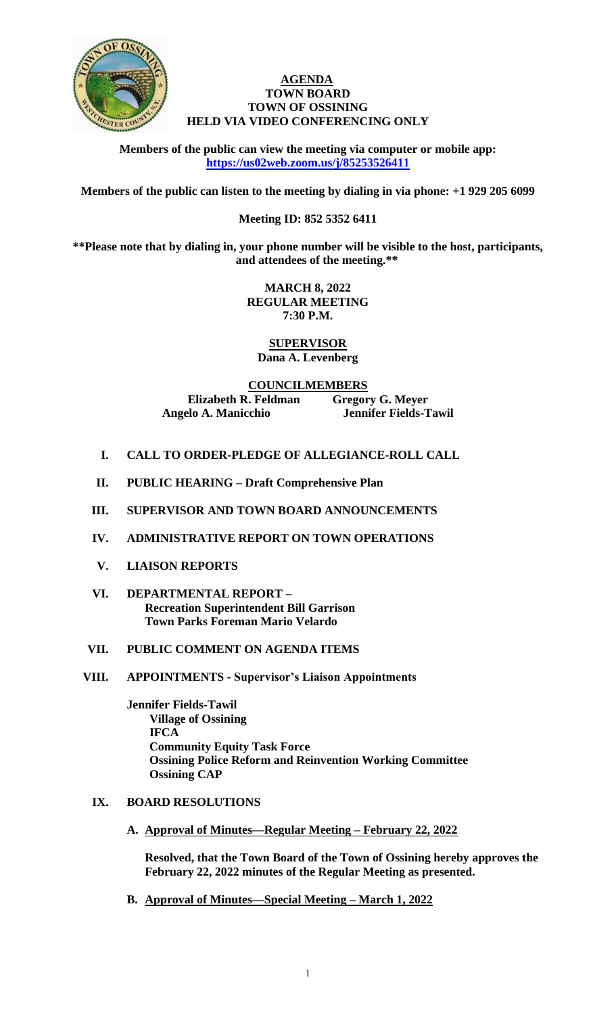

### **AGENDA TOWN BOARD TOWN OF OSSINING HELD VIA VIDEO CONFERENCING ONLY**

**Members of the public can view the meeting via computer or mobile app: <https://us02web.zoom.us/j/85253526411>**

**Members of the public can listen to the meeting by dialing in via phone: +1 929 205 6099** 

## **Meeting ID: 852 5352 6411**

**\*\*Please note that by dialing in, your phone number will be visible to the host, participants, and attendees of the meeting.\*\*** 

> **MARCH 8, 2022 REGULAR MEETING 7:30 P.M.**

**SUPERVISOR Dana A. Levenberg**

**COUNCILMEMBERS Elizabeth R. Feldman Gregory G. Meyer Angelo A. Manicchio Jennifer Fields-Tawil**

- **I. CALL TO ORDER-PLEDGE OF ALLEGIANCE-ROLL CALL**
- **II. PUBLIC HEARING – Draft Comprehensive Plan**
- **III. SUPERVISOR AND TOWN BOARD ANNOUNCEMENTS**
- **IV. ADMINISTRATIVE REPORT ON TOWN OPERATIONS**
- **V. LIAISON REPORTS**
- **VI. DEPARTMENTAL REPORT – Recreation Superintendent Bill Garrison Town Parks Foreman Mario Velardo**

## **VII. PUBLIC COMMENT ON AGENDA ITEMS**

**VIII. APPOINTMENTS - Supervisor's Liaison Appointments**

**Jennifer Fields-Tawil Village of Ossining IFCA Community Equity Task Force Ossining Police Reform and Reinvention Working Committee Ossining CAP**

- **IX. BOARD RESOLUTIONS**
	- **A. Approval of Minutes—Regular Meeting – February 22, 2022**

**Resolved, that the Town Board of the Town of Ossining hereby approves the February 22, 2022 minutes of the Regular Meeting as presented.**

**B. Approval of Minutes—Special Meeting – March 1, 2022**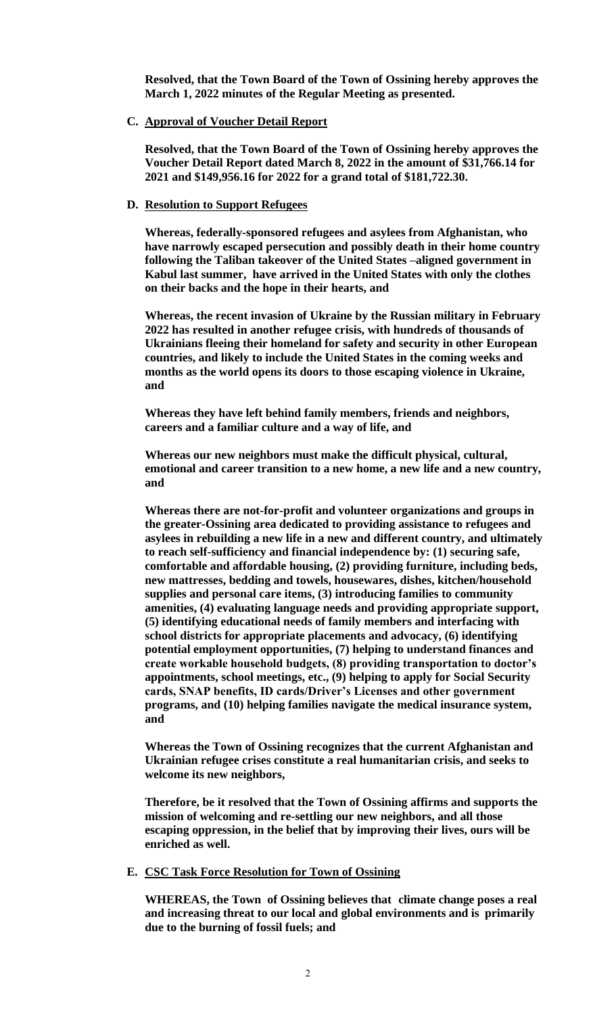**Resolved, that the Town Board of the Town of Ossining hereby approves the March 1, 2022 minutes of the Regular Meeting as presented.**

**C. Approval of Voucher Detail Report**

**Resolved, that the Town Board of the Town of Ossining hereby approves the Voucher Detail Report dated March 8, 2022 in the amount of \$31,766.14 for 2021 and \$149,956.16 for 2022 for a grand total of \$181,722.30.**

#### **D. Resolution to Support Refugees**

**Whereas, federally-sponsored refugees and asylees from Afghanistan, who have narrowly escaped persecution and possibly death in their home country following the Taliban takeover of the United States –aligned government in Kabul last summer, have arrived in the United States with only the clothes on their backs and the hope in their hearts, and**

**Whereas, the recent invasion of Ukraine by the Russian military in February 2022 has resulted in another refugee crisis, with hundreds of thousands of Ukrainians fleeing their homeland for safety and security in other European countries, and likely to include the United States in the coming weeks and months as the world opens its doors to those escaping violence in Ukraine, and** 

**Whereas they have left behind family members, friends and neighbors, careers and a familiar culture and a way of life, and**

**Whereas our new neighbors must make the difficult physical, cultural, emotional and career transition to a new home, a new life and a new country, and**

**Whereas there are not-for-profit and volunteer organizations and groups in the greater-Ossining area dedicated to providing assistance to refugees and asylees in rebuilding a new life in a new and different country, and ultimately to reach self-sufficiency and financial independence by: (1) securing safe, comfortable and affordable housing, (2) providing furniture, including beds, new mattresses, bedding and towels, housewares, dishes, kitchen/household supplies and personal care items, (3) introducing families to community amenities, (4) evaluating language needs and providing appropriate support, (5) identifying educational needs of family members and interfacing with school districts for appropriate placements and advocacy, (6) identifying potential employment opportunities, (7) helping to understand finances and create workable household budgets, (8) providing transportation to doctor's appointments, school meetings, etc., (9) helping to apply for Social Security cards, SNAP benefits, ID cards/Driver's Licenses and other government programs, and (10) helping families navigate the medical insurance system, and**

**Whereas the Town of Ossining recognizes that the current Afghanistan and Ukrainian refugee crises constitute a real humanitarian crisis, and seeks to welcome its new neighbors,**

**Therefore, be it resolved that the Town of Ossining affirms and supports the mission of welcoming and re-settling our new neighbors, and all those escaping oppression, in the belief that by improving their lives, ours will be enriched as well.**

#### **E. CSC Task Force Resolution for Town of Ossining**

**WHEREAS, the Town of Ossining believes that climate change poses a real and increasing threat to our local and global environments and is primarily due to the burning of fossil fuels; and**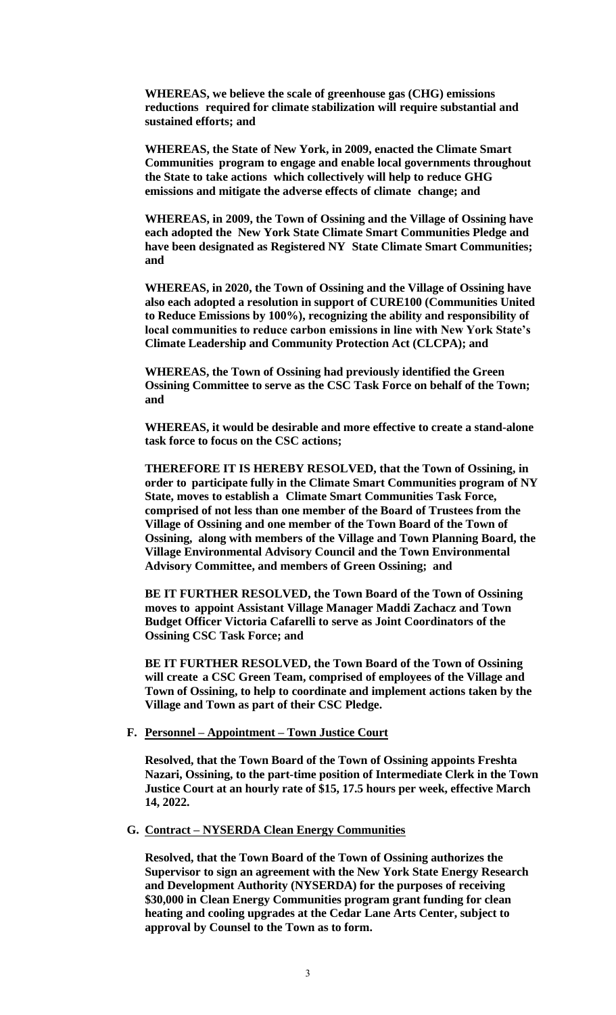**WHEREAS, we believe the scale of greenhouse gas (CHG) emissions reductions required for climate stabilization will require substantial and sustained efforts; and**

**WHEREAS, the State of New York, in 2009, enacted the Climate Smart Communities program to engage and enable local governments throughout the State to take actions which collectively will help to reduce GHG emissions and mitigate the adverse effects of climate change; and**

**WHEREAS, in 2009, the Town of Ossining and the Village of Ossining have each adopted the New York State Climate Smart Communities Pledge and have been designated as Registered NY State Climate Smart Communities; and**

**WHEREAS, in 2020, the Town of Ossining and the Village of Ossining have also each adopted a resolution in support of CURE100 (Communities United to Reduce Emissions by 100%), recognizing the ability and responsibility of local communities to reduce carbon emissions in line with New York State's Climate Leadership and Community Protection Act (CLCPA); and**

**WHEREAS, the Town of Ossining had previously identified the Green Ossining Committee to serve as the CSC Task Force on behalf of the Town; and**

**WHEREAS, it would be desirable and more effective to create a stand-alone task force to focus on the CSC actions;**

**THEREFORE IT IS HEREBY RESOLVED, that the Town of Ossining, in order to participate fully in the Climate Smart Communities program of NY State, moves to establish a Climate Smart Communities Task Force, comprised of not less than one member of the Board of Trustees from the Village of Ossining and one member of the Town Board of the Town of Ossining, along with members of the Village and Town Planning Board, the Village Environmental Advisory Council and the Town Environmental Advisory Committee, and members of Green Ossining; and**

**BE IT FURTHER RESOLVED, the Town Board of the Town of Ossining moves to appoint Assistant Village Manager Maddi Zachacz and Town Budget Officer Victoria Cafarelli to serve as Joint Coordinators of the Ossining CSC Task Force; and**

**BE IT FURTHER RESOLVED, the Town Board of the Town of Ossining will create a CSC Green Team, comprised of employees of the Village and Town of Ossining, to help to coordinate and implement actions taken by the Village and Town as part of their CSC Pledge.**

#### **F. Personnel – Appointment – Town Justice Court**

**Resolved, that the Town Board of the Town of Ossining appoints Freshta Nazari, Ossining, to the part-time position of Intermediate Clerk in the Town Justice Court at an hourly rate of \$15, 17.5 hours per week, effective March 14, 2022.** 

#### **G. Contract – NYSERDA Clean Energy Communities**

**Resolved, that the Town Board of the Town of Ossining authorizes the Supervisor to sign an agreement with the New York State Energy Research and Development Authority (NYSERDA) for the purposes of receiving \$30,000 in Clean Energy Communities program grant funding for clean heating and cooling upgrades at the Cedar Lane Arts Center, subject to approval by Counsel to the Town as to form.**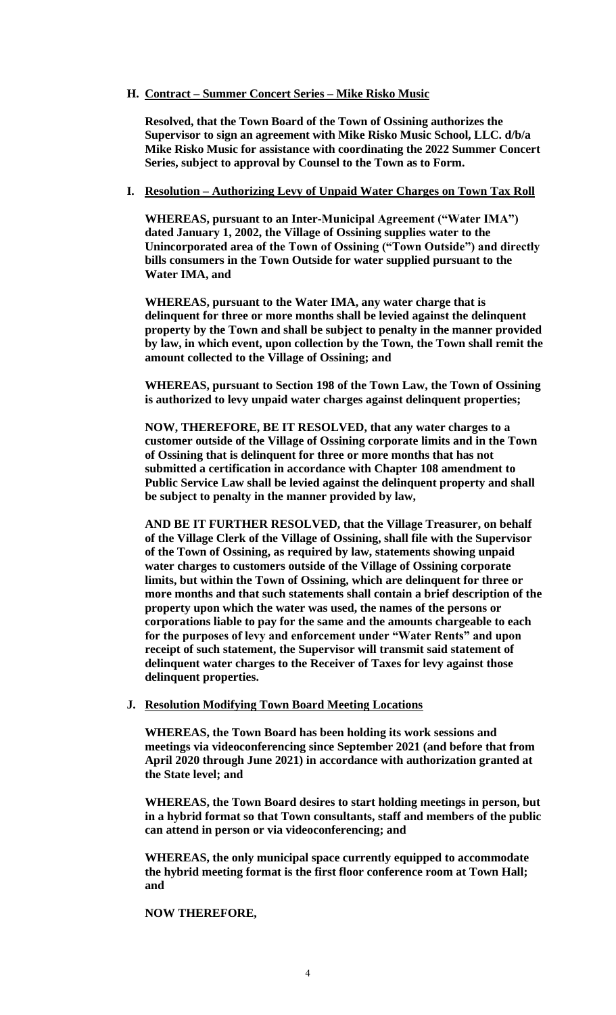## **H. Contract – Summer Concert Series – Mike Risko Music**

**Resolved, that the Town Board of the Town of Ossining authorizes the Supervisor to sign an agreement with Mike Risko Music School, LLC. d/b/a Mike Risko Music for assistance with coordinating the 2022 Summer Concert Series, subject to approval by Counsel to the Town as to Form.** 

## **I. Resolution – Authorizing Levy of Unpaid Water Charges on Town Tax Roll**

**WHEREAS, pursuant to an Inter-Municipal Agreement ("Water IMA") dated January 1, 2002, the Village of Ossining supplies water to the Unincorporated area of the Town of Ossining ("Town Outside") and directly bills consumers in the Town Outside for water supplied pursuant to the Water IMA, and** 

**WHEREAS, pursuant to the Water IMA, any water charge that is delinquent for three or more months shall be levied against the delinquent property by the Town and shall be subject to penalty in the manner provided by law, in which event, upon collection by the Town, the Town shall remit the amount collected to the Village of Ossining; and** 

**WHEREAS, pursuant to Section 198 of the Town Law, the Town of Ossining is authorized to levy unpaid water charges against delinquent properties;** 

**NOW, THEREFORE, BE IT RESOLVED, that any water charges to a customer outside of the Village of Ossining corporate limits and in the Town of Ossining that is delinquent for three or more months that has not submitted a certification in accordance with Chapter 108 amendment to Public Service Law shall be levied against the delinquent property and shall be subject to penalty in the manner provided by law,** 

**AND BE IT FURTHER RESOLVED, that the Village Treasurer, on behalf of the Village Clerk of the Village of Ossining, shall file with the Supervisor of the Town of Ossining, as required by law, statements showing unpaid water charges to customers outside of the Village of Ossining corporate limits, but within the Town of Ossining, which are delinquent for three or more months and that such statements shall contain a brief description of the property upon which the water was used, the names of the persons or corporations liable to pay for the same and the amounts chargeable to each for the purposes of levy and enforcement under "Water Rents" and upon receipt of such statement, the Supervisor will transmit said statement of delinquent water charges to the Receiver of Taxes for levy against those delinquent properties.**

### **J. Resolution Modifying Town Board Meeting Locations**

**WHEREAS, the Town Board has been holding its work sessions and meetings via videoconferencing since September 2021 (and before that from April 2020 through June 2021) in accordance with authorization granted at the State level; and**

**WHEREAS, the Town Board desires to start holding meetings in person, but in a hybrid format so that Town consultants, staff and members of the public can attend in person or via videoconferencing; and** 

**WHEREAS, the only municipal space currently equipped to accommodate the hybrid meeting format is the first floor conference room at Town Hall; and**

## **NOW THEREFORE,**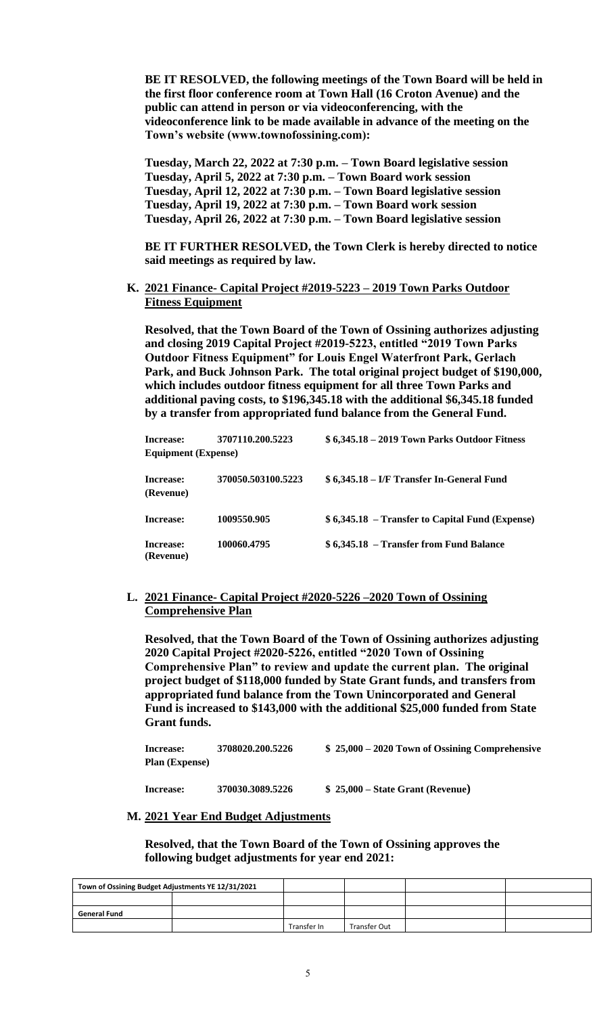**BE IT RESOLVED, the following meetings of the Town Board will be held in the first floor conference room at Town Hall (16 Croton Avenue) and the public can attend in person or via videoconferencing, with the videoconference link to be made available in advance of the meeting on the Town's website (www.townofossining.com):**

**Tuesday, March 22, 2022 at 7:30 p.m. – Town Board legislative session Tuesday, April 5, 2022 at 7:30 p.m. – Town Board work session Tuesday, April 12, 2022 at 7:30 p.m. – Town Board legislative session Tuesday, April 19, 2022 at 7:30 p.m. – Town Board work session Tuesday, April 26, 2022 at 7:30 p.m. – Town Board legislative session**

**BE IT FURTHER RESOLVED, the Town Clerk is hereby directed to notice said meetings as required by law.** 

**K. 2021 Finance- Capital Project #2019-5223 – 2019 Town Parks Outdoor Fitness Equipment**

**Resolved, that the Town Board of the Town of Ossining authorizes adjusting and closing 2019 Capital Project #2019-5223, entitled "2019 Town Parks Outdoor Fitness Equipment" for Louis Engel Waterfront Park, Gerlach Park, and Buck Johnson Park. The total original project budget of \$190,000, which includes outdoor fitness equipment for all three Town Parks and additional paving costs, to \$196,345.18 with the additional \$6,345.18 funded by a transfer from appropriated fund balance from the General Fund.** 

| Increase:                  | 3707110.200.5223   | $$6,345.18 - 2019$ Town Parks Outdoor Fitness   |
|----------------------------|--------------------|-------------------------------------------------|
| <b>Equipment</b> (Expense) |                    |                                                 |
| Increase:<br>(Revenue)     | 370050.503100.5223 | \$6,345.18 – I/F Transfer In-General Fund       |
| Increase:                  | 1009550.905        | \$6,345.18 – Transfer to Capital Fund (Expense) |
| Increase:<br>(Revenue)     | 100060.4795        | \$6,345.18 – Transfer from Fund Balance         |

**L. 2021 Finance- Capital Project #2020-5226 –2020 Town of Ossining Comprehensive Plan**

**Resolved, that the Town Board of the Town of Ossining authorizes adjusting 2020 Capital Project #2020-5226, entitled "2020 Town of Ossining Comprehensive Plan" to review and update the current plan. The original project budget of \$118,000 funded by State Grant funds, and transfers from appropriated fund balance from the Town Unincorporated and General Fund is increased to \$143,000 with the additional \$25,000 funded from State Grant funds.**

| Increase:             | 3708020.200.5226 | $$25,000 - 2020$ Town of Ossining Comprehensive |
|-----------------------|------------------|-------------------------------------------------|
| <b>Plan (Expense)</b> |                  |                                                 |
|                       |                  |                                                 |

**Increase: 370030.3089.5226 \$ 25,000 – State Grant (Revenue)**

#### **M. 2021 Year End Budget Adjustments**

**Resolved, that the Town Board of the Town of Ossining approves the following budget adjustments for year end 2021:**

| Town of Ossining Budget Adjustments YE 12/31/2021 |  |             |              |  |
|---------------------------------------------------|--|-------------|--------------|--|
|                                                   |  |             |              |  |
| General Fund                                      |  |             |              |  |
|                                                   |  | Transfer In | Transfer Out |  |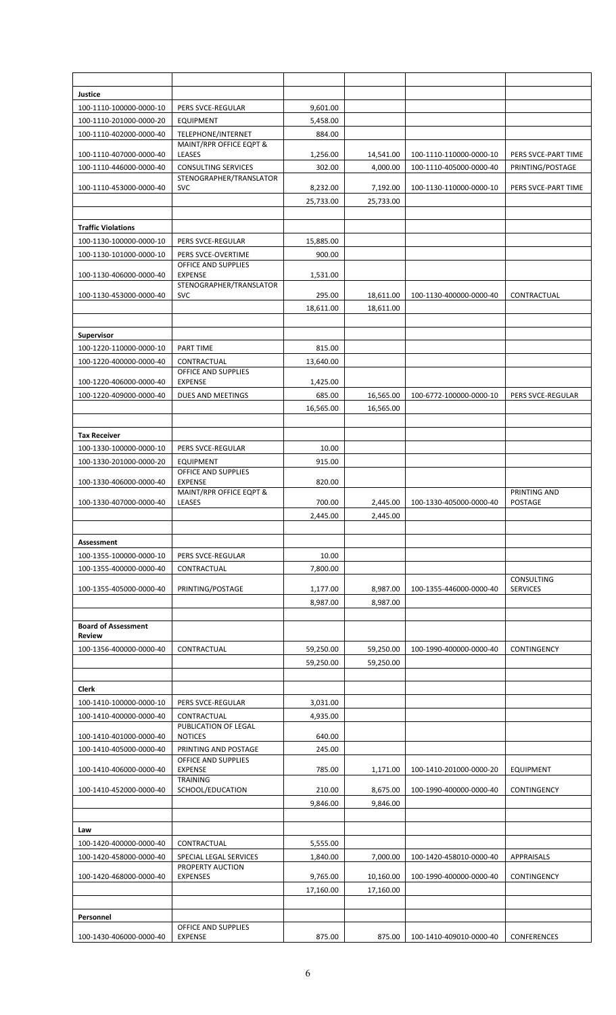| Justice                    |                                             |           |           |                         |                     |
|----------------------------|---------------------------------------------|-----------|-----------|-------------------------|---------------------|
| 100-1110-100000-0000-10    | PERS SVCE-REGULAR                           | 9,601.00  |           |                         |                     |
| 100-1110-201000-0000-20    | <b>EQUIPMENT</b>                            | 5,458.00  |           |                         |                     |
| 100-1110-402000-0000-40    | TELEPHONE/INTERNET                          | 884.00    |           |                         |                     |
|                            | MAINT/RPR OFFICE EQPT &                     |           |           |                         |                     |
| 100-1110-407000-0000-40    | LEASES                                      | 1,256.00  | 14,541.00 | 100-1110-110000-0000-10 | PERS SVCE-PART TIME |
| 100-1110-446000-0000-40    | <b>CONSULTING SERVICES</b>                  | 302.00    | 4,000.00  | 100-1110-405000-0000-40 | PRINTING/POSTAGE    |
|                            | STENOGRAPHER/TRANSLATOR                     |           |           |                         |                     |
| 100-1110-453000-0000-40    | <b>SVC</b>                                  | 8,232.00  | 7,192.00  | 100-1130-110000-0000-10 | PERS SVCE-PART TIME |
|                            |                                             | 25,733.00 | 25,733.00 |                         |                     |
|                            |                                             |           |           |                         |                     |
| <b>Traffic Violations</b>  |                                             |           |           |                         |                     |
| 100-1130-100000-0000-10    | PERS SVCE-REGULAR                           | 15,885.00 |           |                         |                     |
| 100-1130-101000-0000-10    | PERS SVCE-OVERTIME                          | 900.00    |           |                         |                     |
| 100-1130-406000-0000-40    | OFFICE AND SUPPLIES<br><b>EXPENSE</b>       | 1,531.00  |           |                         |                     |
|                            | STENOGRAPHER/TRANSLATOR                     |           |           |                         |                     |
| 100-1130-453000-0000-40    | <b>SVC</b>                                  | 295.00    | 18,611.00 | 100-1130-400000-0000-40 | CONTRACTUAL         |
|                            |                                             | 18,611.00 | 18,611.00 |                         |                     |
|                            |                                             |           |           |                         |                     |
| <b>Supervisor</b>          |                                             |           |           |                         |                     |
| 100-1220-110000-0000-10    | PART TIME                                   | 815.00    |           |                         |                     |
| 100-1220-400000-0000-40    | CONTRACTUAL                                 | 13,640.00 |           |                         |                     |
|                            | OFFICE AND SUPPLIES                         |           |           |                         |                     |
| 100-1220-406000-0000-40    | <b>EXPENSE</b>                              | 1,425.00  |           |                         |                     |
| 100-1220-409000-0000-40    | DUES AND MEETINGS                           | 685.00    | 16,565.00 | 100-6772-100000-0000-10 | PERS SVCE-REGULAR   |
|                            |                                             | 16,565.00 | 16,565.00 |                         |                     |
|                            |                                             |           |           |                         |                     |
| <b>Tax Receiver</b>        |                                             |           |           |                         |                     |
| 100-1330-100000-0000-10    | PERS SVCE-REGULAR                           | 10.00     |           |                         |                     |
| 100-1330-201000-0000-20    | <b>EQUIPMENT</b>                            | 915.00    |           |                         |                     |
|                            | OFFICE AND SUPPLIES                         |           |           |                         |                     |
| 100-1330-406000-0000-40    | <b>EXPENSE</b><br>MAINT/RPR OFFICE EQPT &   | 820.00    |           |                         | PRINTING AND        |
| 100-1330-407000-0000-40    | LEASES                                      | 700.00    | 2,445.00  | 100-1330-405000-0000-40 | POSTAGE             |
|                            |                                             | 2,445.00  | 2,445.00  |                         |                     |
|                            |                                             |           |           |                         |                     |
| Assessment                 |                                             |           |           |                         |                     |
| 100-1355-100000-0000-10    | PERS SVCE-REGULAR                           | 10.00     |           |                         |                     |
| 100-1355-400000-0000-40    | CONTRACTUAL                                 | 7,800.00  |           |                         |                     |
|                            |                                             |           |           |                         | CONSULTING          |
| 100-1355-405000-0000-40    | PRINTING/POSTAGE                            | 1,177.00  | 8,987.00  | 100-1355-446000-0000-40 | <b>SERVICES</b>     |
|                            |                                             | 8,987.00  | 8,987.00  |                         |                     |
|                            |                                             |           |           |                         |                     |
| <b>Board of Assessment</b> |                                             |           |           |                         |                     |
| <b>Review</b>              |                                             |           |           |                         |                     |
| 100-1356-400000-0000-40    | CONTRACTUAL                                 | 59,250.00 | 59,250.00 | 100-1990-400000-0000-40 | CONTINGENCY         |
|                            |                                             | 59,250.00 | 59,250.00 |                         |                     |
|                            |                                             |           |           |                         |                     |
| Clerk                      |                                             |           |           |                         |                     |
| 100-1410-100000-0000-10    | PERS SVCE-REGULAR                           | 3,031.00  |           |                         |                     |
| 100-1410-400000-0000-40    | CONTRACTUAL                                 | 4,935.00  |           |                         |                     |
| 100-1410-401000-0000-40    | PUBLICATION OF LEGAL<br><b>NOTICES</b>      | 640.00    |           |                         |                     |
| 100-1410-405000-0000-40    |                                             |           |           |                         |                     |
|                            |                                             |           |           |                         |                     |
|                            | PRINTING AND POSTAGE<br>OFFICE AND SUPPLIES | 245.00    |           |                         |                     |
| 100-1410-406000-0000-40    | <b>EXPENSE</b>                              | 785.00    | 1,171.00  | 100-1410-201000-0000-20 | <b>EQUIPMENT</b>    |
|                            | TRAINING                                    |           |           |                         |                     |
| 100-1410-452000-0000-40    | SCHOOL/EDUCATION                            | 210.00    | 8,675.00  | 100-1990-400000-0000-40 | <b>CONTINGENCY</b>  |
|                            |                                             | 9,846.00  | 9,846.00  |                         |                     |
|                            |                                             |           |           |                         |                     |
| Law                        |                                             |           |           |                         |                     |
| 100-1420-400000-0000-40    | CONTRACTUAL                                 | 5,555.00  |           |                         |                     |
| 100-1420-458000-0000-40    | SPECIAL LEGAL SERVICES                      | 1,840.00  | 7,000.00  | 100-1420-458010-0000-40 | APPRAISALS          |
|                            | PROPERTY AUCTION                            |           |           |                         |                     |
| 100-1420-468000-0000-40    | <b>EXPENSES</b>                             | 9,765.00  | 10,160.00 | 100-1990-400000-0000-40 | CONTINGENCY         |
|                            |                                             | 17,160.00 | 17,160.00 |                         |                     |
|                            |                                             |           |           |                         |                     |
| Personnel                  | OFFICE AND SUPPLIES                         |           |           |                         |                     |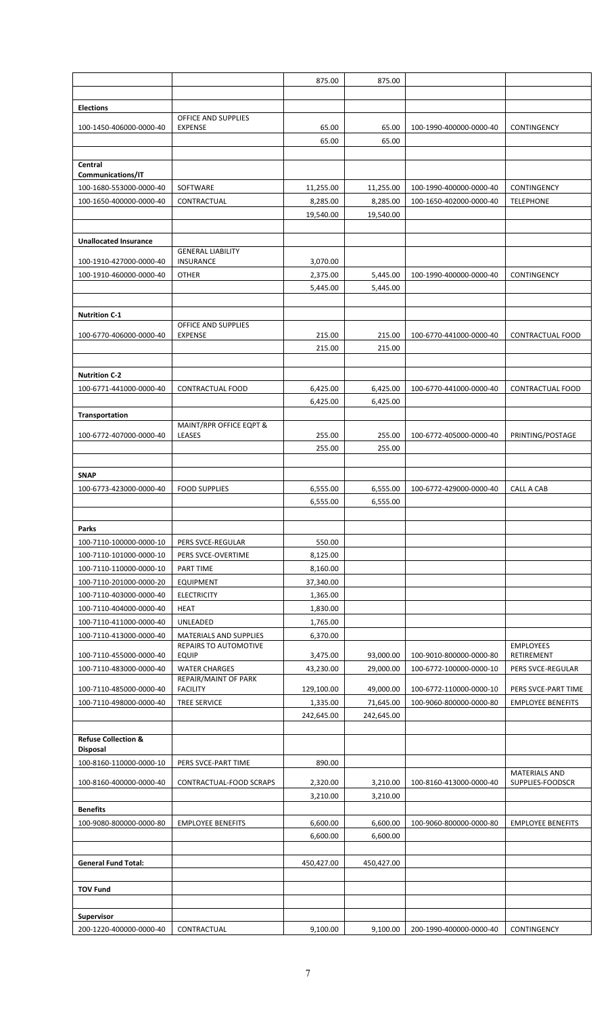|                                |                                              | 875.00     | 875.00     |                         |                          |
|--------------------------------|----------------------------------------------|------------|------------|-------------------------|--------------------------|
|                                |                                              |            |            |                         |                          |
| <b>Elections</b>               |                                              |            |            |                         |                          |
|                                | OFFICE AND SUPPLIES                          |            |            |                         |                          |
| 100-1450-406000-0000-40        | <b>EXPENSE</b>                               | 65.00      | 65.00      | 100-1990-400000-0000-40 | CONTINGENCY              |
|                                |                                              | 65.00      | 65.00      |                         |                          |
| Central                        |                                              |            |            |                         |                          |
| Communications/IT              |                                              |            |            |                         |                          |
| 100-1680-553000-0000-40        | SOFTWARE                                     | 11,255.00  | 11,255.00  | 100-1990-400000-0000-40 | CONTINGENCY              |
| 100-1650-400000-0000-40        | CONTRACTUAL                                  | 8,285.00   | 8,285.00   | 100-1650-402000-0000-40 | <b>TELEPHONE</b>         |
|                                |                                              | 19,540.00  | 19,540.00  |                         |                          |
|                                |                                              |            |            |                         |                          |
| <b>Unallocated Insurance</b>   |                                              |            |            |                         |                          |
| 100-1910-427000-0000-40        | <b>GENERAL LIABILITY</b><br><b>INSURANCE</b> | 3,070.00   |            |                         |                          |
| 100-1910-460000-0000-40        | <b>OTHER</b>                                 | 2,375.00   | 5,445.00   | 100-1990-400000-0000-40 | CONTINGENCY              |
|                                |                                              | 5,445.00   | 5,445.00   |                         |                          |
|                                |                                              |            |            |                         |                          |
| <b>Nutrition C-1</b>           |                                              |            |            |                         |                          |
|                                | OFFICE AND SUPPLIES                          |            |            |                         |                          |
| 100-6770-406000-0000-40        | <b>EXPENSE</b>                               | 215.00     | 215.00     | 100-6770-441000-0000-40 | <b>CONTRACTUAL FOOD</b>  |
|                                |                                              | 215.00     | 215.00     |                         |                          |
|                                |                                              |            |            |                         |                          |
| <b>Nutrition C-2</b>           |                                              |            |            |                         |                          |
| 100-6771-441000-0000-40        | <b>CONTRACTUAL FOOD</b>                      | 6,425.00   | 6,425.00   | 100-6770-441000-0000-40 | <b>CONTRACTUAL FOOD</b>  |
|                                |                                              | 6,425.00   | 6,425.00   |                         |                          |
| Transportation                 | MAINT/RPR OFFICE EQPT &                      |            |            |                         |                          |
| 100-6772-407000-0000-40        | LEASES                                       | 255.00     | 255.00     | 100-6772-405000-0000-40 | PRINTING/POSTAGE         |
|                                |                                              | 255.00     | 255.00     |                         |                          |
|                                |                                              |            |            |                         |                          |
| <b>SNAP</b>                    |                                              |            |            |                         |                          |
| 100-6773-423000-0000-40        | <b>FOOD SUPPLIES</b>                         | 6,555.00   | 6,555.00   | 100-6772-429000-0000-40 | CALL A CAB               |
|                                |                                              | 6,555.00   | 6,555.00   |                         |                          |
|                                |                                              |            |            |                         |                          |
| Parks                          |                                              |            |            |                         |                          |
| 100-7110-100000-0000-10        | PERS SVCE-REGULAR                            | 550.00     |            |                         |                          |
| 100-7110-101000-0000-10        | PERS SVCE-OVERTIME                           | 8,125.00   |            |                         |                          |
| 100-7110-110000-0000-10        | <b>PART TIME</b>                             | 8,160.00   |            |                         |                          |
| 100-7110-201000-0000-20        | <b>EQUIPMENT</b>                             | 37,340.00  |            |                         |                          |
| 100-7110-403000-0000-40        | <b>ELECTRICITY</b>                           | 1,365.00   |            |                         |                          |
| 100-7110-404000-0000-40        | <b>HEAT</b>                                  | 1,830.00   |            |                         |                          |
| 100-7110-411000-0000-40        | UNLEADED<br><b>MATERIALS AND SUPPLIES</b>    | 1,765.00   |            |                         |                          |
| 100-7110-413000-0000-40        | <b>REPAIRS TO AUTOMOTIVE</b>                 | 6,370.00   |            |                         | <b>EMPLOYEES</b>         |
| 100-7110-455000-0000-40        | <b>EQUIP</b>                                 | 3,475.00   | 93,000.00  | 100-9010-800000-0000-80 | RETIREMENT               |
| 100-7110-483000-0000-40        | <b>WATER CHARGES</b>                         | 43,230.00  | 29,000.00  | 100-6772-100000-0000-10 | PERS SVCE-REGULAR        |
| 100-7110-485000-0000-40        | REPAIR/MAINT OF PARK<br><b>FACILITY</b>      | 129,100.00 | 49,000.00  | 100-6772-110000-0000-10 | PERS SVCE-PART TIME      |
| 100-7110-498000-0000-40        | <b>TREE SERVICE</b>                          | 1,335.00   | 71,645.00  | 100-9060-800000-0000-80 | <b>EMPLOYEE BENEFITS</b> |
|                                |                                              | 242,645.00 | 242,645.00 |                         |                          |
|                                |                                              |            |            |                         |                          |
| <b>Refuse Collection &amp;</b> |                                              |            |            |                         |                          |
| <b>Disposal</b>                |                                              |            |            |                         |                          |
| 100-8160-110000-0000-10        | PERS SVCE-PART TIME                          | 890.00     |            |                         | <b>MATERIALS AND</b>     |
| 100-8160-400000-0000-40        | CONTRACTUAL-FOOD SCRAPS                      | 2,320.00   | 3,210.00   | 100-8160-413000-0000-40 | SUPPLIES-FOODSCR         |
|                                |                                              | 3,210.00   | 3,210.00   |                         |                          |
| <b>Benefits</b>                |                                              |            |            |                         |                          |
| 100-9080-800000-0000-80        | <b>EMPLOYEE BENEFITS</b>                     | 6,600.00   | 6,600.00   | 100-9060-800000-0000-80 | <b>EMPLOYEE BENEFITS</b> |
|                                |                                              | 6,600.00   | 6,600.00   |                         |                          |
|                                |                                              |            |            |                         |                          |
| <b>General Fund Total:</b>     |                                              | 450,427.00 | 450,427.00 |                         |                          |
|                                |                                              |            |            |                         |                          |
| <b>TOV Fund</b>                |                                              |            |            |                         |                          |
|                                |                                              |            |            |                         |                          |
| <b>Supervisor</b>              |                                              |            |            |                         |                          |
| 200-1220-400000-0000-40        | CONTRACTUAL                                  | 9,100.00   | 9,100.00   | 200-1990-400000-0000-40 | CONTINGENCY              |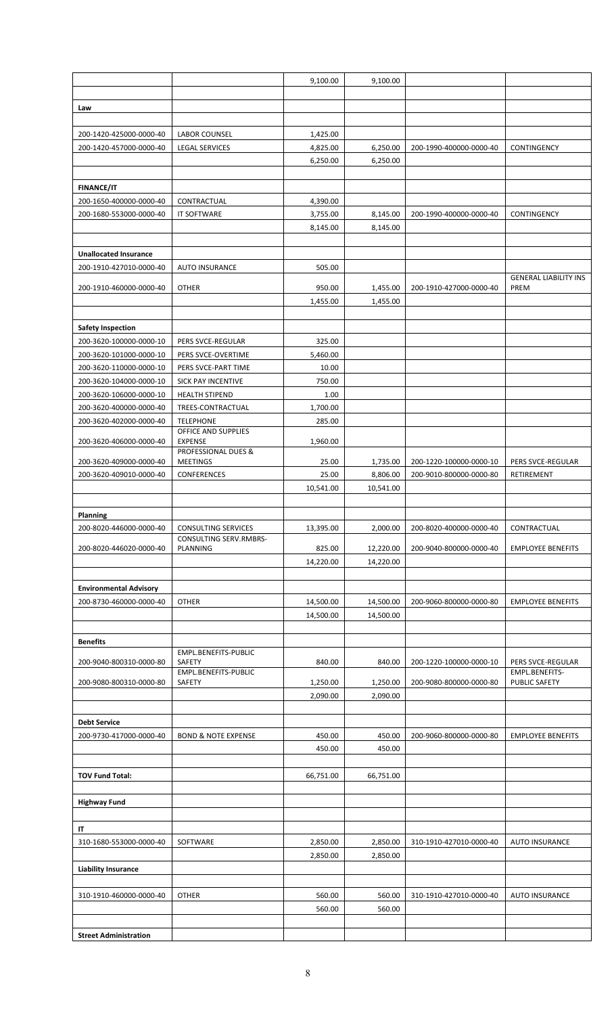|                               |                                       | 9,100.00  | 9,100.00  |                         |                                      |
|-------------------------------|---------------------------------------|-----------|-----------|-------------------------|--------------------------------------|
|                               |                                       |           |           |                         |                                      |
| Law                           |                                       |           |           |                         |                                      |
|                               |                                       |           |           |                         |                                      |
| 200-1420-425000-0000-40       | <b>LABOR COUNSEL</b>                  | 1,425.00  |           |                         |                                      |
| 200-1420-457000-0000-40       | <b>LEGAL SERVICES</b>                 | 4,825.00  | 6,250.00  | 200-1990-400000-0000-40 | CONTINGENCY                          |
|                               |                                       | 6,250.00  | 6,250.00  |                         |                                      |
|                               |                                       |           |           |                         |                                      |
| <b>FINANCE/IT</b>             |                                       |           |           |                         |                                      |
| 200-1650-400000-0000-40       | CONTRACTUAL                           | 4,390.00  |           |                         |                                      |
| 200-1680-553000-0000-40       | IT SOFTWARE                           | 3,755.00  | 8,145.00  | 200-1990-400000-0000-40 | <b>CONTINGENCY</b>                   |
|                               |                                       | 8,145.00  | 8,145.00  |                         |                                      |
|                               |                                       |           |           |                         |                                      |
| <b>Unallocated Insurance</b>  |                                       |           |           |                         |                                      |
| 200-1910-427010-0000-40       | <b>AUTO INSURANCE</b>                 | 505.00    |           |                         |                                      |
| 200-1910-460000-0000-40       | <b>OTHER</b>                          | 950.00    | 1,455.00  | 200-1910-427000-0000-40 | <b>GENERAL LIABILITY INS</b><br>PREM |
|                               |                                       | 1,455.00  | 1,455.00  |                         |                                      |
|                               |                                       |           |           |                         |                                      |
| <b>Safety Inspection</b>      |                                       |           |           |                         |                                      |
| 200-3620-100000-0000-10       | PERS SVCE-REGULAR                     | 325.00    |           |                         |                                      |
| 200-3620-101000-0000-10       | PERS SVCE-OVERTIME                    | 5,460.00  |           |                         |                                      |
| 200-3620-110000-0000-10       | PERS SVCE-PART TIME                   | 10.00     |           |                         |                                      |
| 200-3620-104000-0000-10       | SICK PAY INCENTIVE                    | 750.00    |           |                         |                                      |
| 200-3620-106000-0000-10       | <b>HEALTH STIPEND</b>                 | 1.00      |           |                         |                                      |
| 200-3620-400000-0000-40       | TREES-CONTRACTUAL                     | 1,700.00  |           |                         |                                      |
| 200-3620-402000-0000-40       | <b>TELEPHONE</b>                      | 285.00    |           |                         |                                      |
|                               | OFFICE AND SUPPLIES                   |           |           |                         |                                      |
| 200-3620-406000-0000-40       | <b>EXPENSE</b><br>PROFESSIONAL DUES & | 1,960.00  |           |                         |                                      |
| 200-3620-409000-0000-40       | <b>MEETINGS</b>                       | 25.00     | 1,735.00  | 200-1220-100000-0000-10 | PERS SVCE-REGULAR                    |
| 200-3620-409010-0000-40       | CONFERENCES                           | 25.00     | 8,806.00  | 200-9010-800000-0000-80 | RETIREMENT                           |
|                               |                                       | 10,541.00 | 10,541.00 |                         |                                      |
|                               |                                       |           |           |                         |                                      |
| <b>Planning</b>               |                                       |           |           |                         |                                      |
| 200-8020-446000-0000-40       | <b>CONSULTING SERVICES</b>            | 13,395.00 | 2,000.00  | 200-8020-400000-0000-40 | CONTRACTUAL                          |
| 200-8020-446020-0000-40       | CONSULTING SERV.RMBRS-<br>PLANNING    | 825.00    | 12,220.00 | 200-9040-800000-0000-40 | <b>EMPLOYEE BENEFITS</b>             |
|                               |                                       | 14,220.00 | 14,220.00 |                         |                                      |
|                               |                                       |           |           |                         |                                      |
| <b>Environmental Advisory</b> |                                       |           |           |                         |                                      |
| 200-8730-460000-0000-40       | <b>OTHER</b>                          | 14,500.00 | 14,500.00 | 200-9060-800000-0000-80 | <b>EMPLOYEE BENEFITS</b>             |
|                               |                                       | 14,500.00 | 14,500.00 |                         |                                      |
|                               |                                       |           |           |                         |                                      |
| <b>Benefits</b>               |                                       |           |           |                         |                                      |
|                               | EMPL.BENEFITS-PUBLIC                  |           |           |                         |                                      |
| 200-9040-800310-0000-80       | SAFETY                                | 840.00    | 840.00    | 200-1220-100000-0000-10 | PERS SVCE-REGULAR                    |
| 200-9080-800310-0000-80       | EMPL.BENEFITS-PUBLIC<br>SAFETY        | 1,250.00  | 1,250.00  | 200-9080-800000-0000-80 | EMPL.BENEFITS-<br>PUBLIC SAFETY      |
|                               |                                       | 2,090.00  | 2,090.00  |                         |                                      |
|                               |                                       |           |           |                         |                                      |
| <b>Debt Service</b>           |                                       |           |           |                         |                                      |
| 200-9730-417000-0000-40       | <b>BOND &amp; NOTE EXPENSE</b>        | 450.00    | 450.00    | 200-9060-800000-0000-80 | <b>EMPLOYEE BENEFITS</b>             |
|                               |                                       | 450.00    | 450.00    |                         |                                      |
|                               |                                       |           |           |                         |                                      |
| <b>TOV Fund Total:</b>        |                                       | 66,751.00 | 66,751.00 |                         |                                      |
|                               |                                       |           |           |                         |                                      |
| <b>Highway Fund</b>           |                                       |           |           |                         |                                      |
|                               |                                       |           |           |                         |                                      |
| IT                            |                                       |           |           |                         |                                      |
| 310-1680-553000-0000-40       | SOFTWARE                              | 2,850.00  | 2,850.00  | 310-1910-427010-0000-40 | <b>AUTO INSURANCE</b>                |
|                               |                                       | 2,850.00  | 2,850.00  |                         |                                      |
| <b>Liability Insurance</b>    |                                       |           |           |                         |                                      |
|                               |                                       |           |           |                         |                                      |
| 310-1910-460000-0000-40       | <b>OTHER</b>                          | 560.00    | 560.00    | 310-1910-427010-0000-40 | <b>AUTO INSURANCE</b>                |
|                               |                                       | 560.00    | 560.00    |                         |                                      |
|                               |                                       |           |           |                         |                                      |
| <b>Street Administration</b>  |                                       |           |           |                         |                                      |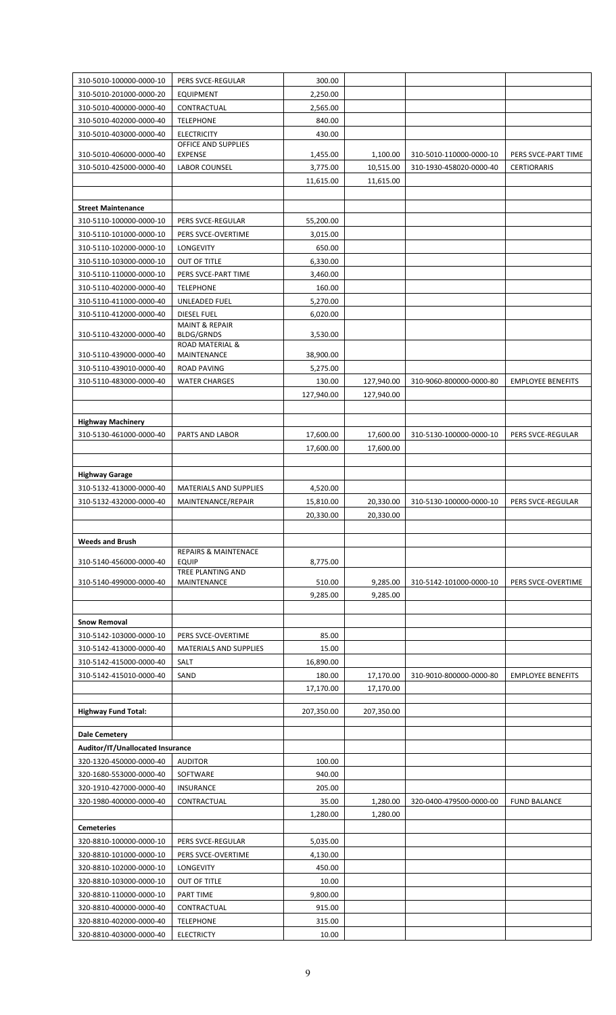| 310-5010-100000-0000-10                            | PERS SVCE-REGULAR                               | 300.00     |            |                         |                          |
|----------------------------------------------------|-------------------------------------------------|------------|------------|-------------------------|--------------------------|
| 310-5010-201000-0000-20                            | <b>EQUIPMENT</b>                                | 2,250.00   |            |                         |                          |
| 310-5010-400000-0000-40                            | CONTRACTUAL                                     | 2,565.00   |            |                         |                          |
| 310-5010-402000-0000-40                            | <b>TELEPHONE</b>                                | 840.00     |            |                         |                          |
| 310-5010-403000-0000-40                            | <b>ELECTRICITY</b>                              | 430.00     |            |                         |                          |
|                                                    | OFFICE AND SUPPLIES                             |            |            |                         |                          |
| 310-5010-406000-0000-40                            | <b>EXPENSE</b>                                  | 1,455.00   | 1,100.00   | 310-5010-110000-0000-10 | PERS SVCE-PART TIME      |
| 310-5010-425000-0000-40                            | <b>LABOR COUNSEL</b>                            | 3,775.00   | 10,515.00  | 310-1930-458020-0000-40 | <b>CERTIORARIS</b>       |
|                                                    |                                                 | 11,615.00  | 11,615.00  |                         |                          |
| <b>Street Maintenance</b>                          |                                                 |            |            |                         |                          |
|                                                    |                                                 | 55,200.00  |            |                         |                          |
| 310-5110-100000-0000-10<br>310-5110-101000-0000-10 | PERS SVCE-REGULAR<br>PERS SVCE-OVERTIME         | 3,015.00   |            |                         |                          |
| 310-5110-102000-0000-10                            | LONGEVITY                                       | 650.00     |            |                         |                          |
| 310-5110-103000-0000-10                            | OUT OF TITLE                                    | 6,330.00   |            |                         |                          |
| 310-5110-110000-0000-10                            | PERS SVCE-PART TIME                             | 3,460.00   |            |                         |                          |
| 310-5110-402000-0000-40                            | <b>TELEPHONE</b>                                | 160.00     |            |                         |                          |
| 310-5110-411000-0000-40                            | UNLEADED FUEL                                   | 5,270.00   |            |                         |                          |
| 310-5110-412000-0000-40                            | <b>DIESEL FUEL</b>                              | 6,020.00   |            |                         |                          |
|                                                    | <b>MAINT &amp; REPAIR</b>                       |            |            |                         |                          |
| 310-5110-432000-0000-40                            | <b>BLDG/GRNDS</b>                               | 3,530.00   |            |                         |                          |
| 310-5110-439000-0000-40                            | <b>ROAD MATERIAL &amp;</b><br>MAINTENANCE       | 38,900.00  |            |                         |                          |
| 310-5110-439010-0000-40                            | <b>ROAD PAVING</b>                              | 5,275.00   |            |                         |                          |
| 310-5110-483000-0000-40                            | <b>WATER CHARGES</b>                            | 130.00     | 127,940.00 | 310-9060-800000-0000-80 | <b>EMPLOYEE BENEFITS</b> |
|                                                    |                                                 | 127,940.00 | 127,940.00 |                         |                          |
|                                                    |                                                 |            |            |                         |                          |
| <b>Highway Machinery</b>                           |                                                 |            |            |                         |                          |
| 310-5130-461000-0000-40                            | PARTS AND LABOR                                 | 17,600.00  | 17,600.00  | 310-5130-100000-0000-10 | PERS SVCE-REGULAR        |
|                                                    |                                                 | 17,600.00  | 17,600.00  |                         |                          |
|                                                    |                                                 |            |            |                         |                          |
| <b>Highway Garage</b>                              |                                                 |            |            |                         |                          |
| 310-5132-413000-0000-40                            | <b>MATERIALS AND SUPPLIES</b>                   | 4,520.00   |            |                         |                          |
| 310-5132-432000-0000-40                            | MAINTENANCE/REPAIR                              | 15,810.00  | 20,330.00  | 310-5130-100000-0000-10 | PERS SVCE-REGULAR        |
|                                                    |                                                 | 20,330.00  | 20,330.00  |                         |                          |
|                                                    |                                                 |            |            |                         |                          |
| <b>Weeds and Brush</b>                             |                                                 |            |            |                         |                          |
| 310-5140-456000-0000-40                            | <b>REPAIRS &amp; MAINTENACE</b><br><b>EQUIP</b> | 8,775.00   |            |                         |                          |
|                                                    | <b>TREE PLANTING AND</b>                        |            |            |                         |                          |
| 310-5140-499000-0000-40                            | MAINTENANCE                                     | 510.00     | 9,285.00   | 310-5142-101000-0000-10 | PERS SVCE-OVERTIME       |
|                                                    |                                                 | 9,285.00   | 9,285.00   |                         |                          |
|                                                    |                                                 |            |            |                         |                          |
| <b>Snow Removal</b>                                |                                                 |            |            |                         |                          |
| 310-5142-103000-0000-10                            | PERS SVCE-OVERTIME                              | 85.00      |            |                         |                          |
| 310-5142-413000-0000-40                            | <b>MATERIALS AND SUPPLIES</b>                   | 15.00      |            |                         |                          |
| 310-5142-415000-0000-40                            | SALT                                            | 16,890.00  |            |                         |                          |
| 310-5142-415010-0000-40                            | SAND                                            | 180.00     | 17,170.00  | 310-9010-800000-0000-80 | <b>EMPLOYEE BENEFITS</b> |
|                                                    |                                                 | 17,170.00  | 17,170.00  |                         |                          |
| <b>Highway Fund Total:</b>                         |                                                 | 207,350.00 | 207,350.00 |                         |                          |
|                                                    |                                                 |            |            |                         |                          |
| <b>Dale Cemetery</b>                               |                                                 |            |            |                         |                          |
| Auditor/IT/Unallocated Insurance                   |                                                 |            |            |                         |                          |
| 320-1320-450000-0000-40                            | <b>AUDITOR</b>                                  | 100.00     |            |                         |                          |
| 320-1680-553000-0000-40                            | SOFTWARE                                        | 940.00     |            |                         |                          |
| 320-1910-427000-0000-40                            | <b>INSURANCE</b>                                | 205.00     |            |                         |                          |
| 320-1980-400000-0000-40                            | CONTRACTUAL                                     | 35.00      | 1,280.00   | 320-0400-479500-0000-00 | <b>FUND BALANCE</b>      |
|                                                    |                                                 | 1,280.00   | 1,280.00   |                         |                          |
| <b>Cemeteries</b>                                  |                                                 |            |            |                         |                          |
| 320-8810-100000-0000-10                            | PERS SVCE-REGULAR                               | 5,035.00   |            |                         |                          |
| 320-8810-101000-0000-10                            | PERS SVCE-OVERTIME                              | 4,130.00   |            |                         |                          |
| 320-8810-102000-0000-10                            | LONGEVITY                                       | 450.00     |            |                         |                          |
| 320-8810-103000-0000-10                            | OUT OF TITLE                                    | 10.00      |            |                         |                          |
| 320-8810-110000-0000-10                            | <b>PART TIME</b>                                | 9,800.00   |            |                         |                          |
| 320-8810-400000-0000-40                            | CONTRACTUAL                                     | 915.00     |            |                         |                          |
| 320-8810-402000-0000-40                            | <b>TELEPHONE</b>                                | 315.00     |            |                         |                          |
| 320-8810-403000-0000-40                            | <b>ELECTRICTY</b>                               | 10.00      |            |                         |                          |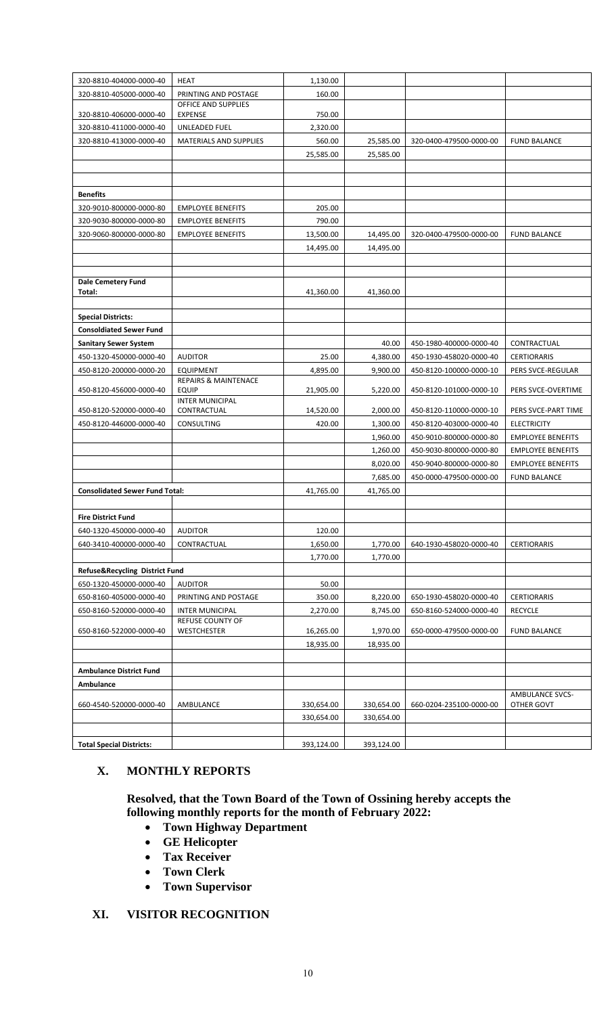| 320-8810-404000-0000-40               | <b>HEAT</b>                                         | 1,130.00   |            |                         |                          |
|---------------------------------------|-----------------------------------------------------|------------|------------|-------------------------|--------------------------|
| 320-8810-405000-0000-40               | PRINTING AND POSTAGE                                | 160.00     |            |                         |                          |
|                                       | OFFICE AND SUPPLIES                                 |            |            |                         |                          |
| 320-8810-406000-0000-40               | <b>EXPENSE</b>                                      | 750.00     |            |                         |                          |
| 320-8810-411000-0000-40               | UNLEADED FUEL                                       | 2,320.00   |            |                         |                          |
| 320-8810-413000-0000-40               | MATERIALS AND SUPPLIES                              | 560.00     | 25,585.00  | 320-0400-479500-0000-00 | <b>FUND BALANCE</b>      |
|                                       |                                                     | 25,585.00  | 25,585.00  |                         |                          |
|                                       |                                                     |            |            |                         |                          |
|                                       |                                                     |            |            |                         |                          |
| <b>Benefits</b>                       |                                                     |            |            |                         |                          |
| 320-9010-800000-0000-80               | <b>EMPLOYEE BENEFITS</b>                            | 205.00     |            |                         |                          |
| 320-9030-800000-0000-80               | <b>EMPLOYEE BENEFITS</b>                            | 790.00     |            |                         |                          |
| 320-9060-800000-0000-80               | <b>EMPLOYEE BENEFITS</b>                            | 13,500.00  | 14,495.00  | 320-0400-479500-0000-00 | <b>FUND BALANCE</b>      |
|                                       |                                                     | 14,495.00  | 14,495.00  |                         |                          |
|                                       |                                                     |            |            |                         |                          |
| <b>Dale Cemetery Fund</b>             |                                                     |            |            |                         |                          |
| Total:                                |                                                     | 41,360.00  | 41,360.00  |                         |                          |
|                                       |                                                     |            |            |                         |                          |
| <b>Special Districts:</b>             |                                                     |            |            |                         |                          |
| <b>Consoldiated Sewer Fund</b>        |                                                     |            |            |                         |                          |
| <b>Sanitary Sewer System</b>          |                                                     |            | 40.00      | 450-1980-400000-0000-40 | CONTRACTUAL              |
| 450-1320-450000-0000-40               | <b>AUDITOR</b>                                      | 25.00      | 4,380.00   | 450-1930-458020-0000-40 | <b>CERTIORARIS</b>       |
| 450-8120-200000-0000-20               | <b>EQUIPMENT</b><br><b>REPAIRS &amp; MAINTENACE</b> | 4,895.00   | 9,900.00   | 450-8120-100000-0000-10 | PERS SVCE-REGULAR        |
| 450-8120-456000-0000-40               | <b>EQUIP</b>                                        | 21,905.00  | 5,220.00   | 450-8120-101000-0000-10 | PERS SVCE-OVERTIME       |
|                                       | <b>INTER MUNICIPAL</b>                              |            |            |                         |                          |
| 450-8120-520000-0000-40               | CONTRACTUAL                                         | 14,520.00  | 2,000.00   | 450-8120-110000-0000-10 | PERS SVCE-PART TIME      |
| 450-8120-446000-0000-40               | CONSULTING                                          | 420.00     | 1,300.00   | 450-8120-403000-0000-40 | <b>ELECTRICITY</b>       |
|                                       |                                                     |            | 1,960.00   | 450-9010-800000-0000-80 | <b>EMPLOYEE BENEFITS</b> |
|                                       |                                                     |            | 1,260.00   | 450-9030-800000-0000-80 | <b>EMPLOYEE BENEFITS</b> |
|                                       |                                                     |            | 8,020.00   | 450-9040-800000-0000-80 | <b>EMPLOYEE BENEFITS</b> |
|                                       |                                                     |            | 7,685.00   | 450-0000-479500-0000-00 | <b>FUND BALANCE</b>      |
| <b>Consolidated Sewer Fund Total:</b> |                                                     | 41,765.00  | 41,765.00  |                         |                          |
|                                       |                                                     |            |            |                         |                          |
| <b>Fire District Fund</b>             |                                                     |            |            |                         |                          |
| 640-1320-450000-0000-40               | <b>AUDITOR</b>                                      | 120.00     |            |                         |                          |
| 640-3410-400000-0000-40               | CONTRACTUAL                                         | 1,650.00   | 1,770.00   | 640-1930-458020-0000-40 | <b>CERTIORARIS</b>       |
|                                       |                                                     | 1,770.00   | 1,770.00   |                         |                          |
| Refuse&Recycling District Fund        |                                                     |            |            |                         |                          |
| 650-1320-450000-0000-40               | <b>AUDITOR</b>                                      | 50.00      |            |                         |                          |
| 650-8160-405000-0000-40               | PRINTING AND POSTAGE                                | 350.00     | 8,220.00   | 650-1930-458020-0000-40 | <b>CERTIORARIS</b>       |
| 650-8160-520000-0000-40               | <b>INTER MUNICIPAL</b><br><b>REFUSE COUNTY OF</b>   | 2,270.00   | 8,745.00   | 650-8160-524000-0000-40 | <b>RECYCLE</b>           |
| 650-8160-522000-0000-40               | WESTCHESTER                                         | 16,265.00  | 1,970.00   | 650-0000-479500-0000-00 | <b>FUND BALANCE</b>      |
|                                       |                                                     | 18,935.00  | 18,935.00  |                         |                          |
|                                       |                                                     |            |            |                         |                          |
| <b>Ambulance District Fund</b>        |                                                     |            |            |                         |                          |
| Ambulance                             |                                                     |            |            |                         |                          |
|                                       |                                                     |            |            |                         | <b>AMBULANCE SVCS-</b>   |
| 660-4540-520000-0000-40               | AMBULANCE                                           | 330,654.00 | 330,654.00 | 660-0204-235100-0000-00 | OTHER GOVT               |
|                                       |                                                     | 330,654.00 | 330,654.00 |                         |                          |
|                                       |                                                     |            |            |                         |                          |
| <b>Total Special Districts:</b>       |                                                     | 393,124.00 | 393,124.00 |                         |                          |

## **X. MONTHLY REPORTS**

**Resolved, that the Town Board of the Town of Ossining hereby accepts the following monthly reports for the month of February 2022:**

- **Town Highway Department**
- **GE Helicopter**
- **Tax Receiver**
- **Town Clerk**
- **Town Supervisor**

## **XI. VISITOR RECOGNITION**